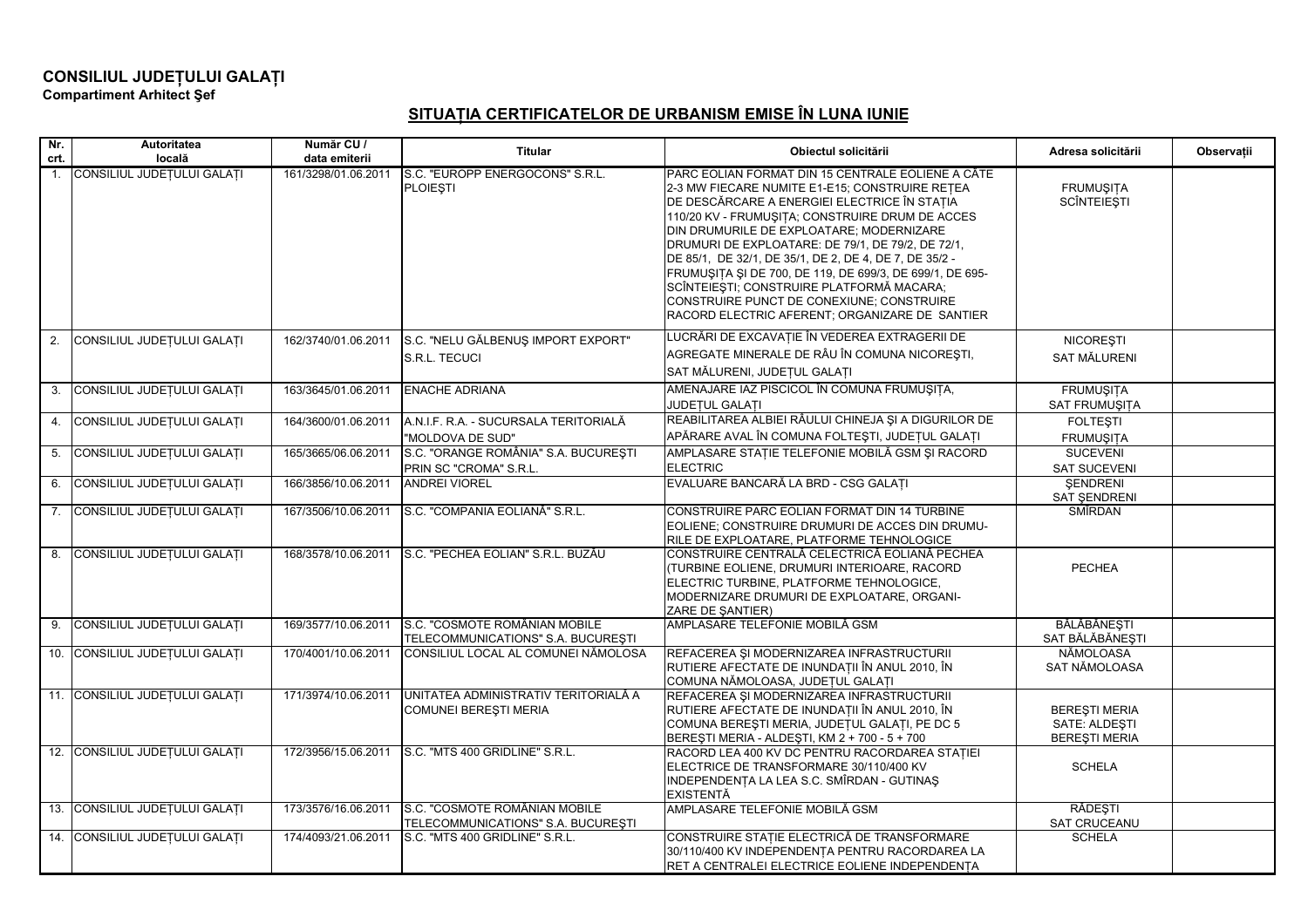## **CONSILIUL JUDE ULUI GALA <sup>I</sup> Compartiment Arhitect ef**

## **SITUA IA CERTIFICATELOR DE URBANISM EMISE ÎN LUNA IUNIE**

| Nr.<br>crt.    | Autoritatea<br>locală          | Număr CU /<br>data emiterii | <b>Titular</b>                                                       | Obiectul solicitării                                                                                                                                                                                                                                                                                                                                                                                                                                                                                                                                                      | Adresa solicitării                                            | Observatii |
|----------------|--------------------------------|-----------------------------|----------------------------------------------------------------------|---------------------------------------------------------------------------------------------------------------------------------------------------------------------------------------------------------------------------------------------------------------------------------------------------------------------------------------------------------------------------------------------------------------------------------------------------------------------------------------------------------------------------------------------------------------------------|---------------------------------------------------------------|------------|
| $\mathbf{1}$ . | CONSILIUL JUDEȚULUI GALAȚI     | 161/3298/01.06.2011         | S.C. "EUROPP ENERGOCONS" S.R.L.<br><b>PLOIESTI</b>                   | PARC EOLIAN FORMAT DIN 15 CENTRALE EOLIENE A CÂTE<br>2-3 MW FIECARE NUMITE E1-E15; CONSTRUIRE RETEA<br>DE DESCĂRCARE A ENERGIEI ELECTRICE ÎN STAȚIA<br>110/20 KV - FRUMUŞITA; CONSTRUIRE DRUM DE ACCES<br>DIN DRUMURILE DE EXPLOATARE; MODERNIZARE<br>DRUMURI DE EXPLOATARE: DE 79/1, DE 79/2, DE 72/1,<br>DE 85/1, DE 32/1, DE 35/1, DE 2, DE 4, DE 7, DE 35/2 -<br>FRUMUSITA SI DE 700, DE 119, DE 699/3, DE 699/1, DE 695-<br>SCÎNTEIESTI; CONSTRUIRE PLATFORMĂ MACARA;<br>CONSTRUIRE PUNCT DE CONEXIUNE; CONSTRUIRE<br>RACORD ELECTRIC AFERENT: ORGANIZARE DE SANTIER | <b>FRUMUŞITA</b><br><b>SCÎNTEIEȘTI</b>                        |            |
| 2.             | CONSILIUL JUDEȚULUI GALAȚI     | 162/3740/01.06.2011         | S.C. "NELU GĂLBENUȘ IMPORT EXPORT"<br>S.R.L. TECUCI                  | LUCRĂRI DE EXCAVAȚIE ÎN VEDEREA EXTRAGERII DE<br>AGREGATE MINERALE DE RÂU ÎN COMUNA NICOREȘTI,<br>SAT MĂLURENI, JUDEȚUL GALAȚI                                                                                                                                                                                                                                                                                                                                                                                                                                            | <b>NICOREȘTI</b><br><b>SAT MĂLURENI</b>                       |            |
| 3.             | CONSILIUL JUDEȚULUI GALAȚI     | 163/3645/01.06.2011         | <b>ENACHE ADRIANA</b>                                                | AMENAJARE IAZ PISCICOL ÎN COMUNA FRUMUȘITA,<br>JUDEȚUL GALAȚI                                                                                                                                                                                                                                                                                                                                                                                                                                                                                                             | <b>FRUMUŞITA</b><br>SAT FRUMUŞITA                             |            |
| 4.             | CONSILIUL JUDEȚULUI GALAȚI     | 164/3600/01.06.2011         | A.N.I.F. R.A. - SUCURSALA TERITORIALĂ<br>"MOLDOVA DE SUD"            | REABILITAREA ALBIEI RÂULUI CHINEJA ȘI A DIGURILOR DE<br>APĂRARE AVAL ÎN COMUNA FOLTEȘTI, JUDEȚUL GALAȚI                                                                                                                                                                                                                                                                                                                                                                                                                                                                   | <b>FOLTESTI</b><br><b>FRUMUSITA</b>                           |            |
|                | 5. CONSILIUL JUDEȚULUI GALAȚI  | 165/3665/06.06.2011         | S.C. "ORANGE ROMÂNIA" S.A. BUCUREȘTI<br>PRIN SC "CROMA" S.R.L.       | AMPLASARE STAȚIE TELEFONIE MOBILĂ GSM ȘI RACORD<br><b>ELECTRIC</b>                                                                                                                                                                                                                                                                                                                                                                                                                                                                                                        | <b>SUCEVENI</b><br><b>SAT SUCEVENI</b>                        |            |
| 6.             | CONSILIUL JUDEȚULUI GALAȚI     | 166/3856/10.06.2011         | <b>ANDREI VIOREL</b>                                                 | EVALUARE BANCARĂ LA BRD - CSG GALAȚI                                                                                                                                                                                                                                                                                                                                                                                                                                                                                                                                      | <b>ŞENDRENI</b><br>SAT ŞENDRENI                               |            |
|                | 7. CONSILIUL JUDEȚULUI GALAȚI  | 167/3506/10.06.2011         | S.C. "COMPANIA EOLIANĂ" S.R.L.                                       | CONSTRUIRE PARC EOLIAN FORMAT DIN 14 TURBINE<br>EOLIENE; CONSTRUIRE DRUMURI DE ACCES DIN DRUMU-<br>RILE DE EXPLOATARE, PLATFORME TEHNOLOGICE                                                                                                                                                                                                                                                                                                                                                                                                                              | SMÎRDAN                                                       |            |
| 8.             | CONSILIUL JUDEȚULUI GALAȚI     | 168/3578/10.06.2011         | S.C. "PECHEA EOLIAN" S.R.L. BUZĂU                                    | CONSTRUIRE CENTRALĂ CELECTRICĂ EOLIANĂ PECHEA<br>(TURBINE EOLIENE, DRUMURI INTERIOARE, RACORD<br>ELECTRIC TURBINE, PLATFORME TEHNOLOGICE,<br>MODERNIZARE DRUMURI DE EXPLOATARE, ORGANI-<br>ZARE DE ŞANTIER)                                                                                                                                                                                                                                                                                                                                                               | <b>PECHEA</b>                                                 |            |
| 9.             | CONSILIUL JUDEȚULUI GALAȚI     | 169/3577/10.06.2011         | S.C. "COSMOTE ROMÂNIAN MOBILE<br>TELECOMMUNICATIONS" S.A. BUCURESTI  | AMPLASARE TELEFONIE MOBILĂ GSM                                                                                                                                                                                                                                                                                                                                                                                                                                                                                                                                            | BĂLĂBĂNEȘTI<br>SAT BĂLĂBĂNEȘTI                                |            |
|                | 10. CONSILIUL JUDEȚULUI GALAȚI | 170/4001/10.06.2011         | CONSILIUL LOCAL AL COMUNEI NĂMOLOSA                                  | REFACEREA ȘI MODERNIZAREA INFRASTRUCTURII<br>RUTIERE AFECTATE DE INUNDAȚII ÎN ANUL 2010, ÎN<br>COMUNA NĂMOLOASA, JUDEȚUL GALAȚI                                                                                                                                                                                                                                                                                                                                                                                                                                           | NĂMOLOASA<br>SAT NĂMOLOASA                                    |            |
|                | 11. CONSILIUL JUDEȚULUI GALAȚI | 171/3974/10.06.2011         | UNITATEA ADMINISTRATIV TERITORIALĂ A<br><b>COMUNEI BERESTI MERIA</b> | REFACEREA ȘI MODERNIZAREA INFRASTRUCTURII<br>RUTIERE AFECTATE DE INUNDAȚII ÎN ANUL 2010, ÎN<br>COMUNA BEREȘTI MERIA, JUDEȚUL GALAȚI, PE DC 5<br>BEREŞTI MERIA - ALDEŞTI, KM 2 + 700 - 5 + 700                                                                                                                                                                                                                                                                                                                                                                             | <b>BERESTI MERIA</b><br>SATE: ALDESTI<br><b>BEREŞTI MERIA</b> |            |
|                | 12. CONSILIUL JUDEȚULUI GALAȚI | 172/3956/15.06.2011         | S.C. "MTS 400 GRIDLINE" S.R.L.                                       | RACORD LEA 400 KV DC PENTRU RACORDAREA STATIEI<br>ELECTRICE DE TRANSFORMARE 30/110/400 KV<br>INDEPENDENȚA LA LEA S.C. SMÎRDAN - GUTINAȘ<br><b>EXISTENTĂ</b>                                                                                                                                                                                                                                                                                                                                                                                                               | <b>SCHELA</b>                                                 |            |
|                | 13. CONSILIUL JUDEȚULUI GALAȚI | 173/3576/16.06.2011         | S.C. "COSMOTE ROMÂNIAN MOBILE<br>TELECOMMUNICATIONS" S.A. BUCURESTI  | AMPLASARE TELEFONIE MOBILĂ GSM                                                                                                                                                                                                                                                                                                                                                                                                                                                                                                                                            | RĂDEȘTI<br>SAT CRUCEANU                                       |            |
|                | 14. CONSILIUL JUDEȚULUI GALAȚI | 174/4093/21.06.2011         | S.C. "MTS 400 GRIDLINE" S.R.L.                                       | CONSTRUIRE STAȚIE ELECTRICĂ DE TRANSFORMARE<br>30/110/400 KV INDEPENDENTA PENTRU RACORDAREA LA<br>RET A CENTRALEI ELECTRICE EOLIENE INDEPENDENTA                                                                                                                                                                                                                                                                                                                                                                                                                          | <b>SCHELA</b>                                                 |            |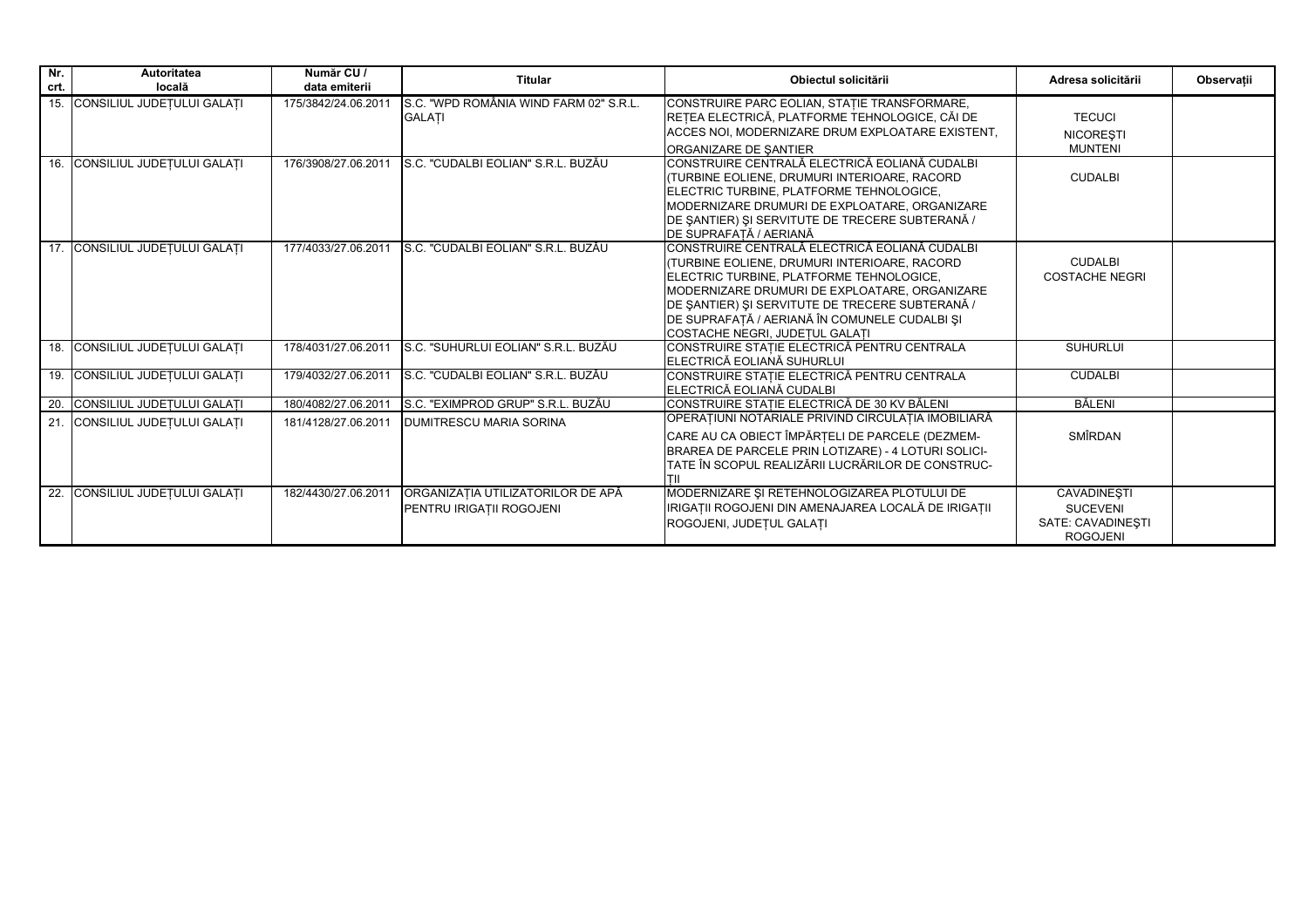| $\n  Nr$<br>crt. | <b>Autoritatea</b><br>locală   | Număr CU /<br>data emiterii | <b>Titular</b>                                                | Obiectul solicitării                                                                                                                                                                                                                                                                                                              | Adresa solicitării                                                            | Observatii |
|------------------|--------------------------------|-----------------------------|---------------------------------------------------------------|-----------------------------------------------------------------------------------------------------------------------------------------------------------------------------------------------------------------------------------------------------------------------------------------------------------------------------------|-------------------------------------------------------------------------------|------------|
|                  | 15. CONSILIUL JUDETULUI GALATI | 175/3842/24.06.2011         | S.C. "WPD ROMÂNIA WIND FARM 02" S.R.L.<br><b>GALATI</b>       | CONSTRUIRE PARC EOLIAN, STATIE TRANSFORMARE,<br>REȚEA ELECTRICĂ, PLATFORME TEHNOLOGICE, CĂI DE<br>ACCES NOI, MODERNIZARE DRUM EXPLOATARE EXISTENT,<br><b>ORGANIZARE DE SANTIER</b>                                                                                                                                                | <b>TECUCI</b><br><b>NICORESTI</b><br><b>MUNTENI</b>                           |            |
|                  | 16. CONSILIUL JUDETULUI GALATI | 176/3908/27.06.2011         | S.C. "CUDALBI EOLIAN" S.R.L. BUZĂU                            | ICONSTRUIRE CENTRALĂ ELECTRICĂ EOLIANĂ CUDALBI<br>(TURBINE EOLIENE, DRUMURI INTERIOARE, RACORD<br><b>IELECTRIC TURBINE, PLATFORME TEHNOLOGICE.</b><br>MODERNIZARE DRUMURI DE EXPLOATARE, ORGANIZARE<br>DE SANTIER) ȘI SERVITUTE DE TRECERE SUBTERANĂ /<br>DE SUPRAFATĂ / AERIANĂ                                                  | <b>CUDALBI</b>                                                                |            |
|                  | 17. CONSILIUL JUDETULUI GALATI | 177/4033/27.06.2011         | S.C. "CUDALBI EOLIAN" S.R.L. BUZĂU                            | ICONSTRUIRE CENTRALĂ ELECTRICĂ EOLIANĂ CUDALBI<br>(TURBINE EOLIENE, DRUMURI INTERIOARE, RACORD<br>ELECTRIC TURBINE, PLATFORME TEHNOLOGICE,<br>MODERNIZARE DRUMURI DE EXPLOATARE, ORGANIZARE<br>DE SANTIER) ȘI SERVITUTE DE TRECERE SUBTERANĂ /<br>DE SUPRAFAȚĂ / AERIANĂ ÎN COMUNELE CUDALBI ȘI<br>COSTACHE NEGRI, JUDETUL GALATI | <b>CUDALBI</b><br><b>COSTACHE NEGRI</b>                                       |            |
|                  | 18. CONSILIUL JUDEȚULUI GALAȚI | 178/4031/27.06.2011         | S.C. "SUHURLUI EOLIAN" S.R.L. BUZĂU                           | CONSTRUIRE STAȚIE ELECTRICĂ PENTRU CENTRALA<br>ELECTRICĂ EOLIANĂ SUHURLUI                                                                                                                                                                                                                                                         | <b>SUHURLUI</b>                                                               |            |
|                  | 19. CONSILIUL JUDETULUI GALATI | 179/4032/27.06.2011         | S.C. "CUDALBI EOLIAN" S.R.L. BUZĂU                            | CONSTRUIRE STATIE ELECTRICĂ PENTRU CENTRALA<br>ELECTRICĂ EOLIANĂ CUDALBI                                                                                                                                                                                                                                                          | <b>CUDALBI</b>                                                                |            |
|                  | 20. CONSILIUL JUDEȚULUI GALAȚI | 180/4082/27.06.2011         | S.C. "EXIMPROD GRUP" S.R.L. BUZĂU                             | CONSTRUIRE STATIE ELECTRICĂ DE 30 KV BĂLENI                                                                                                                                                                                                                                                                                       | BĂLENI                                                                        |            |
|                  | 21. CONSILIUL JUDEȚULUI GALAȚI | 181/4128/27.06.2011         | <b>IDUMITRESCU MARIA SORINA</b>                               | OPERATIUNI NOTARIALE PRIVIND CIRCULATIA IMOBILIARĂ<br>CARE AU CA OBIECT ÎMPĂRȚELI DE PARCELE (DEZMEM-<br>BRAREA DE PARCELE PRIN LOTIZARE) - 4 LOTURI SOLICI-<br>TATE ÎN SCOPUL REALIZĂRII LUCRĂRILOR DE CONSTRUC-<br>lTII                                                                                                         | <b>SMÎRDAN</b>                                                                |            |
|                  | 22. CONSILIUL JUDETULUI GALATI | 182/4430/27.06.2011         | ORGANIZATIA UTILIZATORILOR DE APĂ<br>PENTRU IRIGATII ROGOJENI | MODERNIZARE ȘI RETEHNOLOGIZAREA PLOTULUI DE<br>IRIGAȚII ROGOJENI DIN AMENAJAREA LOCALĂ DE IRIGAȚII<br>ROGOJENI, JUDETUL GALATI                                                                                                                                                                                                    | <b>CAVADINESTI</b><br><b>SUCEVENI</b><br>SATE: CAVADINESTI<br><b>ROGOJENI</b> |            |